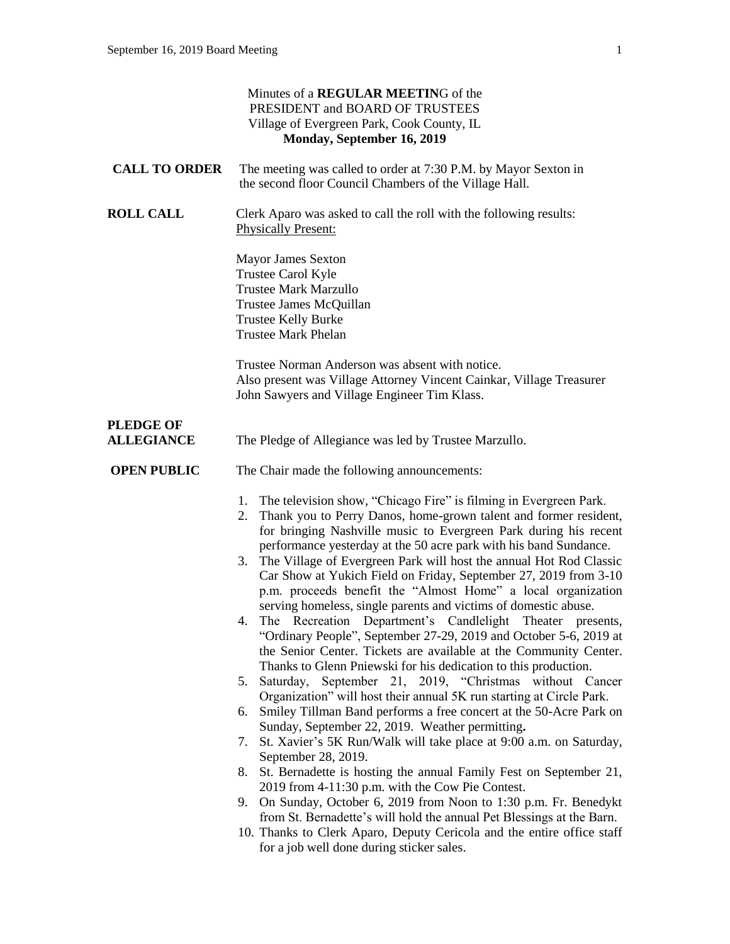|                                       | Minutes of a REGULAR MEETING of the<br>PRESIDENT and BOARD OF TRUSTEES<br>Village of Evergreen Park, Cook County, IL<br>Monday, September 16, 2019                                                                                                                                                                                                                                                                                                                                                                                                                                                                                                                                                                                                                                                                                                                                                                                                                                                                                                                                                                                                                                                                                                                                                                                                                                                                                                                                                                                                                                                                                           |
|---------------------------------------|----------------------------------------------------------------------------------------------------------------------------------------------------------------------------------------------------------------------------------------------------------------------------------------------------------------------------------------------------------------------------------------------------------------------------------------------------------------------------------------------------------------------------------------------------------------------------------------------------------------------------------------------------------------------------------------------------------------------------------------------------------------------------------------------------------------------------------------------------------------------------------------------------------------------------------------------------------------------------------------------------------------------------------------------------------------------------------------------------------------------------------------------------------------------------------------------------------------------------------------------------------------------------------------------------------------------------------------------------------------------------------------------------------------------------------------------------------------------------------------------------------------------------------------------------------------------------------------------------------------------------------------------|
| <b>CALL TO ORDER</b>                  | The meeting was called to order at 7:30 P.M. by Mayor Sexton in<br>the second floor Council Chambers of the Village Hall.                                                                                                                                                                                                                                                                                                                                                                                                                                                                                                                                                                                                                                                                                                                                                                                                                                                                                                                                                                                                                                                                                                                                                                                                                                                                                                                                                                                                                                                                                                                    |
| <b>ROLL CALL</b>                      | Clerk Aparo was asked to call the roll with the following results:<br><b>Physically Present:</b>                                                                                                                                                                                                                                                                                                                                                                                                                                                                                                                                                                                                                                                                                                                                                                                                                                                                                                                                                                                                                                                                                                                                                                                                                                                                                                                                                                                                                                                                                                                                             |
|                                       | <b>Mayor James Sexton</b><br>Trustee Carol Kyle<br><b>Trustee Mark Marzullo</b><br>Trustee James McQuillan<br><b>Trustee Kelly Burke</b><br><b>Trustee Mark Phelan</b>                                                                                                                                                                                                                                                                                                                                                                                                                                                                                                                                                                                                                                                                                                                                                                                                                                                                                                                                                                                                                                                                                                                                                                                                                                                                                                                                                                                                                                                                       |
|                                       | Trustee Norman Anderson was absent with notice.<br>Also present was Village Attorney Vincent Cainkar, Village Treasurer<br>John Sawyers and Village Engineer Tim Klass.                                                                                                                                                                                                                                                                                                                                                                                                                                                                                                                                                                                                                                                                                                                                                                                                                                                                                                                                                                                                                                                                                                                                                                                                                                                                                                                                                                                                                                                                      |
| <b>PLEDGE OF</b><br><b>ALLEGIANCE</b> | The Pledge of Allegiance was led by Trustee Marzullo.                                                                                                                                                                                                                                                                                                                                                                                                                                                                                                                                                                                                                                                                                                                                                                                                                                                                                                                                                                                                                                                                                                                                                                                                                                                                                                                                                                                                                                                                                                                                                                                        |
| <b>OPEN PUBLIC</b>                    | The Chair made the following announcements:                                                                                                                                                                                                                                                                                                                                                                                                                                                                                                                                                                                                                                                                                                                                                                                                                                                                                                                                                                                                                                                                                                                                                                                                                                                                                                                                                                                                                                                                                                                                                                                                  |
|                                       | The television show, "Chicago Fire" is filming in Evergreen Park.<br>1.<br>Thank you to Perry Danos, home-grown talent and former resident,<br>2.<br>for bringing Nashville music to Evergreen Park during his recent<br>performance yesterday at the 50 acre park with his band Sundance.<br>3. The Village of Evergreen Park will host the annual Hot Rod Classic<br>Car Show at Yukich Field on Friday, September 27, 2019 from 3-10<br>p.m. proceeds benefit the "Almost Home" a local organization<br>serving homeless, single parents and victims of domestic abuse.<br>The Recreation Department's Candlelight Theater presents,<br>4.<br>"Ordinary People", September 27-29, 2019 and October 5-6, 2019 at<br>the Senior Center. Tickets are available at the Community Center.<br>Thanks to Glenn Pniewski for his dedication to this production.<br>Saturday, September 21, 2019, "Christmas without Cancer<br>5.<br>Organization" will host their annual 5K run starting at Circle Park.<br>Smiley Tillman Band performs a free concert at the 50-Acre Park on<br>6.<br>Sunday, September 22, 2019. Weather permitting.<br>St. Xavier's 5K Run/Walk will take place at 9:00 a.m. on Saturday,<br>7.<br>September 28, 2019.<br>St. Bernadette is hosting the annual Family Fest on September 21,<br>8.<br>2019 from 4-11:30 p.m. with the Cow Pie Contest.<br>On Sunday, October 6, 2019 from Noon to 1:30 p.m. Fr. Benedykt<br>9.<br>from St. Bernadette's will hold the annual Pet Blessings at the Barn.<br>10. Thanks to Clerk Aparo, Deputy Cericola and the entire office staff<br>for a job well done during sticker sales. |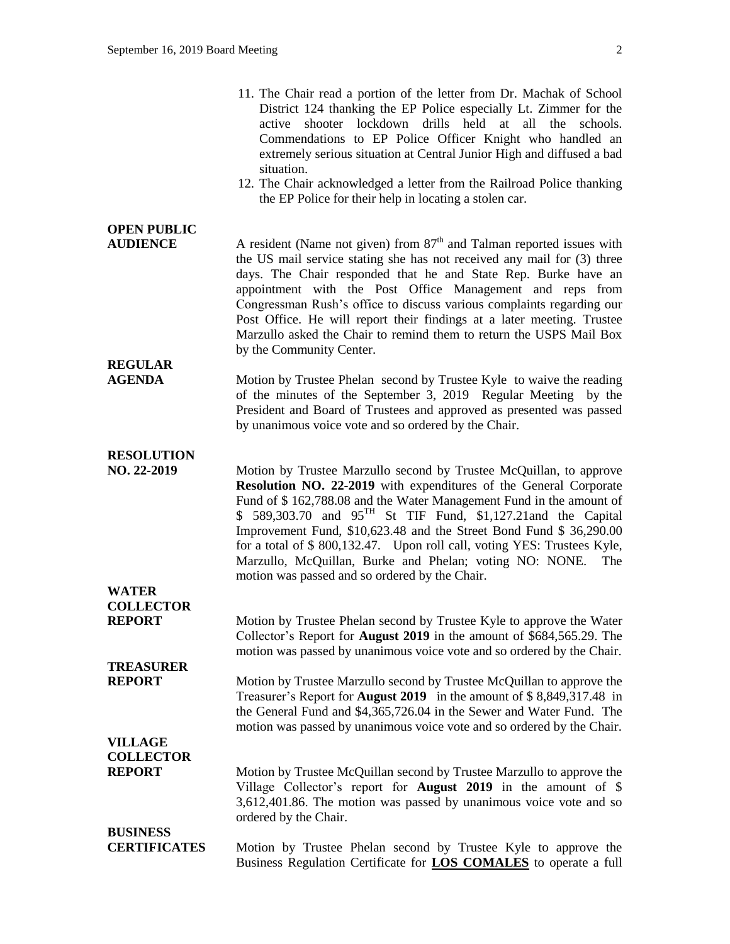|                                       | 11. The Chair read a portion of the letter from Dr. Machak of School<br>District 124 thanking the EP Police especially Lt. Zimmer for the<br>shooter lockdown drills held at<br>all the<br>active<br>schools.<br>Commendations to EP Police Officer Knight who handled an<br>extremely serious situation at Central Junior High and diffused a bad<br>situation.<br>12. The Chair acknowledged a letter from the Railroad Police thanking<br>the EP Police for their help in locating a stolen car.                                                         |
|---------------------------------------|-------------------------------------------------------------------------------------------------------------------------------------------------------------------------------------------------------------------------------------------------------------------------------------------------------------------------------------------------------------------------------------------------------------------------------------------------------------------------------------------------------------------------------------------------------------|
| <b>OPEN PUBLIC</b><br><b>AUDIENCE</b> | A resident (Name not given) from $87th$ and Talman reported issues with<br>the US mail service stating she has not received any mail for (3) three<br>days. The Chair responded that he and State Rep. Burke have an<br>appointment with the Post Office Management and reps from<br>Congressman Rush's office to discuss various complaints regarding our<br>Post Office. He will report their findings at a later meeting. Trustee<br>Marzullo asked the Chair to remind them to return the USPS Mail Box<br>by the Community Center.                     |
| <b>REGULAR</b><br><b>AGENDA</b>       | Motion by Trustee Phelan second by Trustee Kyle to waive the reading<br>of the minutes of the September 3, 2019 Regular Meeting by the<br>President and Board of Trustees and approved as presented was passed<br>by unanimous voice vote and so ordered by the Chair.                                                                                                                                                                                                                                                                                      |
| <b>RESOLUTION</b><br>NO. 22-2019      | Motion by Trustee Marzullo second by Trustee McQuillan, to approve<br>Resolution NO. 22-2019 with expenditures of the General Corporate<br>Fund of \$162,788.08 and the Water Management Fund in the amount of<br>\$ 589,303.70 and $95^{TH}$ St TIF Fund, \$1,127.21 and the Capital<br>Improvement Fund, \$10,623.48 and the Street Bond Fund \$ 36,290.00<br>for a total of \$800,132.47. Upon roll call, voting YES: Trustees Kyle,<br>Marzullo, McQuillan, Burke and Phelan; voting NO: NONE.<br>The<br>motion was passed and so ordered by the Chair. |
| <b>WATER</b>                          |                                                                                                                                                                                                                                                                                                                                                                                                                                                                                                                                                             |
| <b>COLLECTOR</b>                      |                                                                                                                                                                                                                                                                                                                                                                                                                                                                                                                                                             |
| <b>REPORT</b>                         | Motion by Trustee Phelan second by Trustee Kyle to approve the Water<br>Collector's Report for <b>August 2019</b> in the amount of \$684,565.29. The<br>motion was passed by unanimous voice vote and so ordered by the Chair.                                                                                                                                                                                                                                                                                                                              |
| <b>TREASURER</b>                      |                                                                                                                                                                                                                                                                                                                                                                                                                                                                                                                                                             |
| <b>REPORT</b>                         | Motion by Trustee Marzullo second by Trustee McQuillan to approve the<br>Treasurer's Report for <b>August 2019</b> in the amount of \$8,849,317.48 in<br>the General Fund and \$4,365,726.04 in the Sewer and Water Fund. The<br>motion was passed by unanimous voice vote and so ordered by the Chair.                                                                                                                                                                                                                                                     |
| <b>VILLAGE</b>                        |                                                                                                                                                                                                                                                                                                                                                                                                                                                                                                                                                             |
| <b>COLLECTOR</b>                      |                                                                                                                                                                                                                                                                                                                                                                                                                                                                                                                                                             |
| <b>REPORT</b>                         | Motion by Trustee McQuillan second by Trustee Marzullo to approve the<br>Village Collector's report for <b>August 2019</b> in the amount of \$<br>3,612,401.86. The motion was passed by unanimous voice vote and so<br>ordered by the Chair.                                                                                                                                                                                                                                                                                                               |
| <b>BUSINESS</b>                       |                                                                                                                                                                                                                                                                                                                                                                                                                                                                                                                                                             |
| <b>CERTIFICATES</b>                   | Motion by Trustee Phelan second by Trustee Kyle to approve the                                                                                                                                                                                                                                                                                                                                                                                                                                                                                              |

Business Regulation Certificate for **LOS COMALES** to operate a full